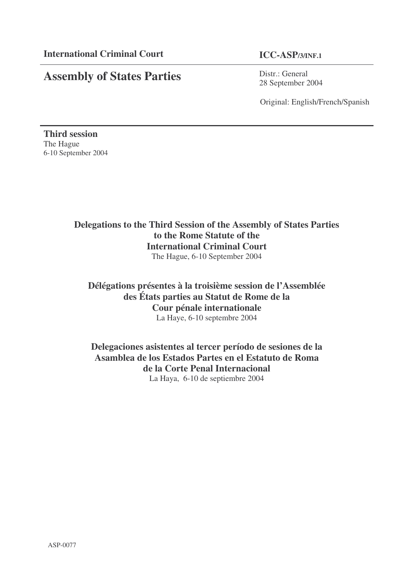# **Assembly of States Parties**

Distr.: General 28 September 2004

Original: English/French/Spanish

**Third session** The Hague 6-10 September 2004

# **Delegations to the Third Session of the Assembly of States Parties to the Rome Statute of the International Criminal Court** The Hague, 6-10 September 2004

# **Délégations présentes à la troisième session de l'Assemblée des États parties au Statut de Rome de la Cour pénale internationale** La Haye, 6-10 septembre 2004

# **Delegaciones asistentes al tercer período de sesiones de la Asamblea de los Estados Partes en el Estatuto de Roma de la Corte Penal Internacional** La Haya, 6-10 de septiembre 2004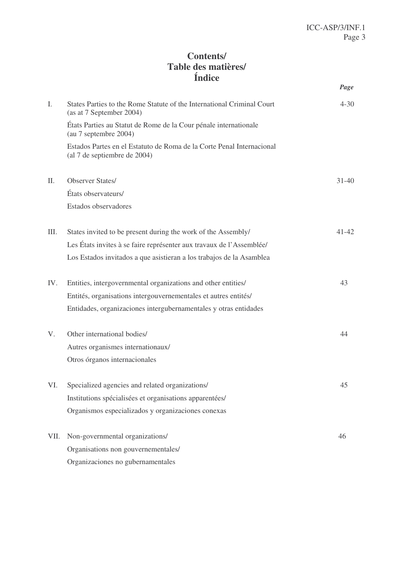# **Contents/ Table des matières/ Índice**

|      |                                                                                                       | Page      |
|------|-------------------------------------------------------------------------------------------------------|-----------|
| I.   | States Parties to the Rome Statute of the International Criminal Court<br>(as at 7 September 2004)    | $4 - 30$  |
|      | États Parties au Statut de Rome de la Cour pénale internationale<br>(au 7 septembre 2004)             |           |
|      | Estados Partes en el Estatuto de Roma de la Corte Penal Internacional<br>(al 7 de septiembre de 2004) |           |
| II.  | <b>Observer States/</b>                                                                               | $31 - 40$ |
|      | États observateurs/                                                                                   |           |
|      | Estados observadores                                                                                  |           |
| III. | States invited to be present during the work of the Assembly/                                         | $41 - 42$ |
|      | Les États invites à se faire représenter aux travaux de l'Assemblée/                                  |           |
|      | Los Estados invitados a que asistieran a los trabajos de la Asamblea                                  |           |
| IV.  | Entities, intergovernmental organizations and other entities/                                         | 43        |
|      | Entités, organisations intergouvernementales et autres entités/                                       |           |
|      | Entidades, organizaciones intergubernamentales y otras entidades                                      |           |
| V.   | Other international bodies/                                                                           | 44        |
|      | Autres organismes internationaux/                                                                     |           |
|      | Otros órganos internacionales                                                                         |           |
| VI.  | Specialized agencies and related organizations/                                                       | 45        |
|      | Institutions spécialisées et organisations apparentées/                                               |           |
|      | Organismos especializados y organizaciones conexas                                                    |           |
| VII. | Non-governmental organizations/                                                                       | 46        |
|      | Organisations non gouvernementales/                                                                   |           |
|      | Organizaciones no gubernamentales                                                                     |           |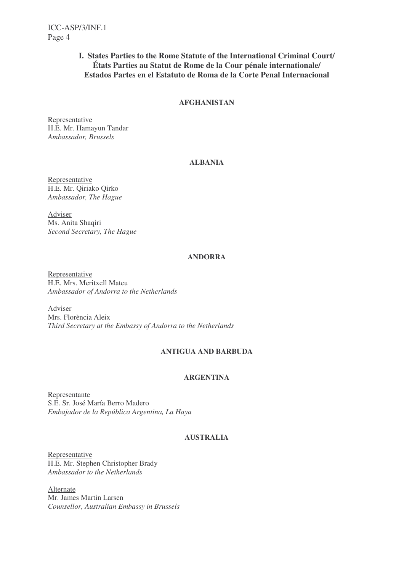### **I. States Parties to the Rome Statute of the International Criminal Court/ États Parties au Statut de Rome de la Cour pénale internationale/ Estados Partes en el Estatuto de Roma de la Corte Penal Internacional**

### **AFGHANISTAN**

Representative H.E. Mr. Hamayun Tandar *Ambassador, Brussels*

### **ALBANIA**

Representative H.E. Mr. Qiriako Qirko *Ambassador, The Hague*

Adviser Ms. Anita Shaqiri *Second Secretary, The Hague*

### **ANDORRA**

Representative H.E. Mrs. Meritxell Mateu *Ambassador of Andorra to the Netherlands*

Adviser Mrs. Florència Aleix *Third Secretary at the Embassy of Andorra to the Netherlands*

#### **ANTIGUA AND BARBUDA**

### **ARGENTINA**

Representante S.E. Sr. José María Berro Madero *Embajador de la República Argentina, La Haya*

### **AUSTRALIA**

Representative H.E. Mr. Stephen Christopher Brady *Ambassador to the Netherlands*

Alternate Mr. James Martin Larsen *Counsellor, Australian Embassy in Brussels*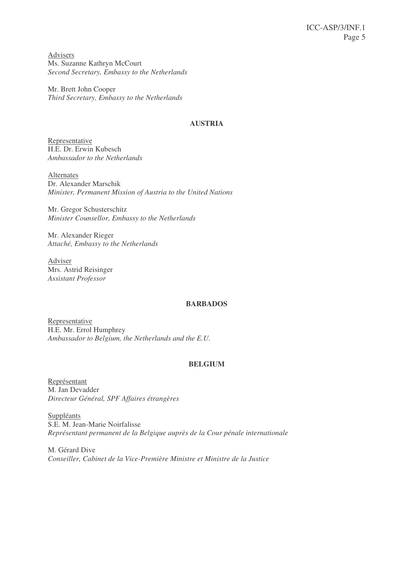Advisers Ms. Suzanne Kathryn McCourt *Second Secretary, Embassy to the Netherlands*

Mr. Brett John Cooper *Third Secretary, Embassy to the Netherlands*

### **AUSTRIA**

Representative H.E. Dr. Erwin Kubesch *Ambassador to the Netherlands*

Alternates Dr. Alexander Marschik *Minister, Permanent Mission of Austria to the United Nations*

Mr. Gregor Schusterschitz *Minister Counsellor, Embassy to the Netherlands*

Mr. Alexander Rieger *Attaché, Embassy to the Netherlands*

Adviser Mrs. Astrid Reisinger *Assistant Professor*

#### **BARBADOS**

Representative H.E. Mr. Errol Humphrey *Ambassador to Belgium, the Netherlands and the E.U.*

### **BELGIUM**

Représentant M. Jan Devadder *Directeur Général, SPF Affaires étrangères*

Suppléants S.E. M. Jean-Marie Noirfalisse *Représentant permanent de la Belgique auprès de la Cour pénale internationale*

M. Gérard Dive *Conseiller, Cabinet de la Vice-Première Ministre et Ministre de la Justice*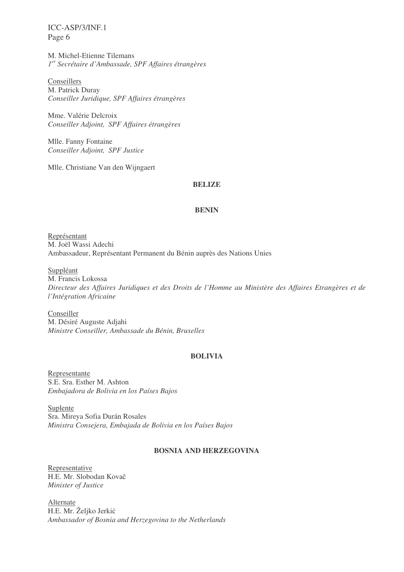M. Michel-Etienne Tilemans *1 er Secrétaire d'Ambassade, SPF Affaires étrangères*

Conseillers M. Patrick Duray *Conseiller Juridique, SPF Affaires étrangères*

Mme. Valérie Delcroix *Conseiller Adjoint, SPF Affaires étrangères*

Mlle. Fanny Fontaine *Conseiller Adjoint, SPF Justice*

Mlle. Christiane Van den Wijngaert

#### **BELIZE**

#### **BENIN**

Représentant M. Joël Wassi Adechi Ambassadeur, Représentant Permanent du Bénin auprès des Nations Unies

#### Suppléant

M. Francis Lokossa *Directeur des Affaires Juridiques et des Droits de l'Homme au Ministère des Affaires Etrangères et de l'Intégration Africaine*

**Conseiller** M. Désiré Auguste Adjahi *Ministre Conseiller, Ambassade du Bénin, Bruxelles*

#### **BOLIVIA**

Representante S.E. Sra. Esther M. Ashton *Embajadora de Bolivia en los Países Bajos*

Suplente Sra. Mireya Sofia Durán Rosales *Ministra Consejera, Embajada de Bolivia en los Países Bajos*

### **BOSNIA AND HERZEGOVINA**

Representative H.E. Mr. Slobodan Kova *Minister of Justice*

Alternate H.E. Mr. Željko Jerkić *Ambassador of Bosnia and Herzegovina to the Netherlands*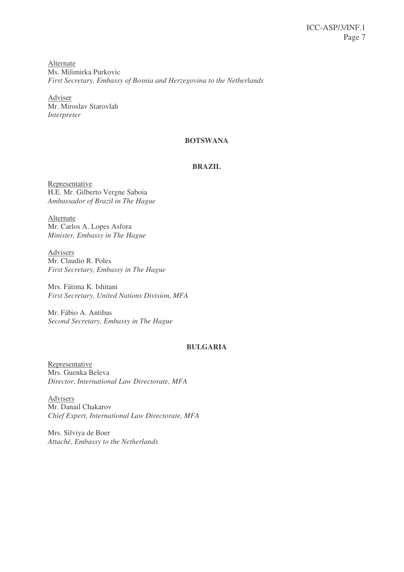**Alternate** Ms. Milimirka Purkovic *First Secretary, Embassy of Bosnia and Herzegovina to the Netherlands*

Adviser Mr. Miroslav Starovlah *Interpreter*

### **BOTSWANA**

#### **BRAZIL**

Representative H.E. Mr. Gilberto Vergne Saboia *Ambassador of Brazil in The Hague*

Alternate Mr. Carlos A. Lopes Asfora *Minister, Embassy in The Hague*

Advisers Mr. Claudio R. Poles *First Secretary, Embassy in The Hague*

Mrs. Fátima K. Ishitani *First Secretary, United Nations Division, MFA*

Mr. Fábio A. Antibas *Second Secretary, Embassy in The Hague*

#### **BULGARIA**

Representative Mrs. Guenka Beleva *Director, International Law Directorate, MFA*

Advisers Mr. Danail Chakarov *Chief Expert, International Law Directorate, MFA*

Mrs. Silviya de Boer *Attaché, Embassy to the Netherlands*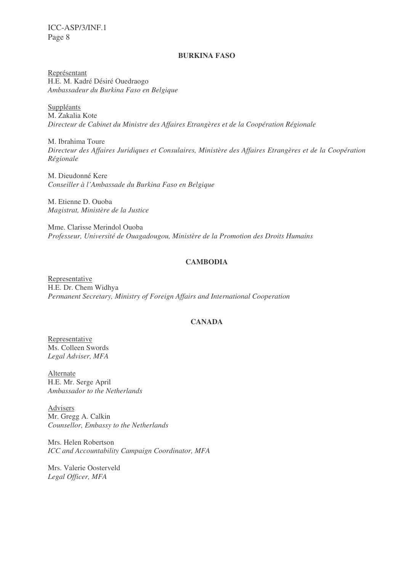#### **BURKINA FASO**

Représentant H.E. M. Kadré Désiré Ouedraogo *Ambassadeur du Burkina Faso en Belgique*

**Suppléants** M. Zakalia Kote *Directeur de Cabinet du Ministre des Affaires Etrangères et de la Coopération Régionale*

M. Ibrahima Toure *Directeur des Affaires Juridiques et Consulaires, Ministère des Affaires Etrangères et de la Coopération Régionale*

M. Dieudonné Kere *Conseiller à l'Ambassade du Burkina Faso en Belgique*

M. Etienne D. Ouoba *Magistrat, Ministère de la Justice*

Mme. Clarisse Merindol Ouoba *Professeur, Université de Ouagadougou, Ministère de la Promotion des Droits Humains*

### **CAMBODIA**

Representative H.E. Dr. Chem Widhya *Permanent Secretary, Ministry of Foreign Affairs and International Cooperation*

### **CANADA**

Representative Ms. Colleen Swords *Legal Adviser, MFA*

Alternate H.E. Mr. Serge April *Ambassador to the Netherlands*

Advisers Mr. Gregg A. Calkin *Counsellor, Embassy to the Netherlands*

Mrs. Helen Robertson *ICC and Accountability Campaign Coordinator, MFA*

Mrs. Valerie Oosterveld *Legal Officer, MFA*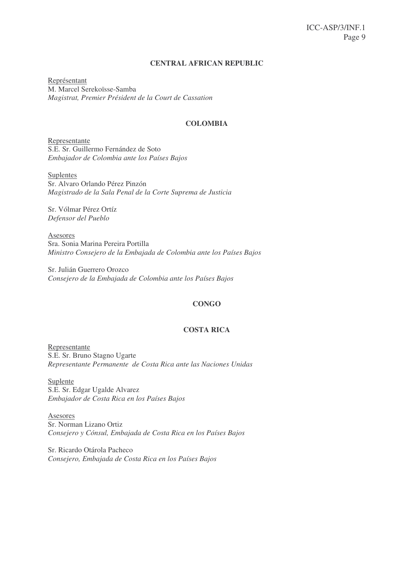#### **CENTRAL AFRICAN REPUBLIC**

Représentant M. Marcel Serekoïsse-Samba *Magistrat, Premier Président de la Court de Cassation*

#### **COLOMBIA**

Representante S.E. Sr. Guillermo Fernández de Soto *Embajador de Colombia ante los Países Bajos*

Suplentes Sr. Alvaro Orlando Pérez Pinzón *Magistrado de la Sala Penal de la Corte Suprema de Justicia*

Sr. Vólmar Pérez Ortíz *Defensor del Pueblo*

Asesores Sra. Sonia Marina Pereira Portilla *Ministro Consejero de la Embajada de Colombia ante los Países Bajos*

Sr. Julián Guerrero Orozco *Consejero de la Embajada de Colombia ante los Países Bajos*

#### **CONGO**

#### **COSTA RICA**

Representante S.E. Sr. Bruno Stagno Ugarte *Representante Permanente de Costa Rica ante las Naciones Unidas*

Suplente S.E. Sr. Edgar Ugalde Alvarez *Embajador de Costa Rica en los Países Bajos*

Asesores Sr. Norman Lizano Ortiz *Consejero y Cónsul, Embajada de Costa Rica en los Países Bajos*

Sr. Ricardo Otárola Pacheco *Consejero, Embajada de Costa Rica en los Países Bajos*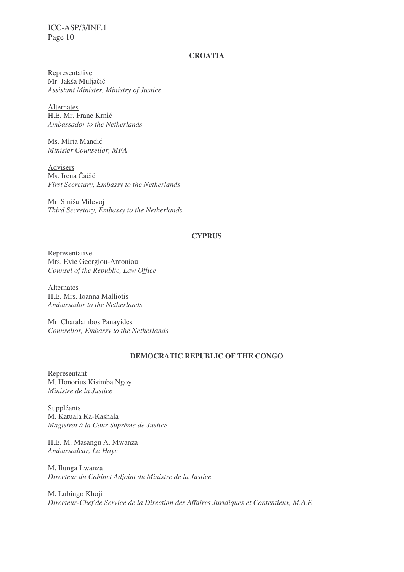### **CROATIA**

Representative Mr. Jakša Muljačić *Assistant Minister, Ministry of Justice*

Alternates H.E. Mr. Frane Krnić *Ambassador to the Netherlands*

Ms. Mirta Mandić *Minister Counsellor, MFA*

Advisers Ms. Irena Čačić *First Secretary, Embassy to the Netherlands*

Mr. Siniša Milevoj *Third Secretary, Embassy to the Netherlands*

#### **CYPRUS**

Representative Mrs. Evie Georgiou-Antoniou *Counsel of the Republic, Law Office*

Alternates H.E. Mrs. Ioanna Malliotis *Ambassador to the Netherlands*

Mr. Charalambos Panayides *Counsellor, Embassy to the Netherlands*

#### **DEMOCRATIC REPUBLIC OF THE CONGO**

Représentant M. Honorius Kisimba Ngoy *Ministre de la Justice*

Suppléants M. Katuala Ka-Kashala *Magistrat à la Cour Suprême de Justice*

H.E. M. Masangu A. Mwanza *Ambassadeur, La Haye*

M. Ilunga Lwanza *Directeur du Cabinet Adjoint du Ministre de la Justice*

M. Lubingo Khoji *Directeur-Chef de Service de la Direction des Affaires Juridiques et Contentieux, M.A.E*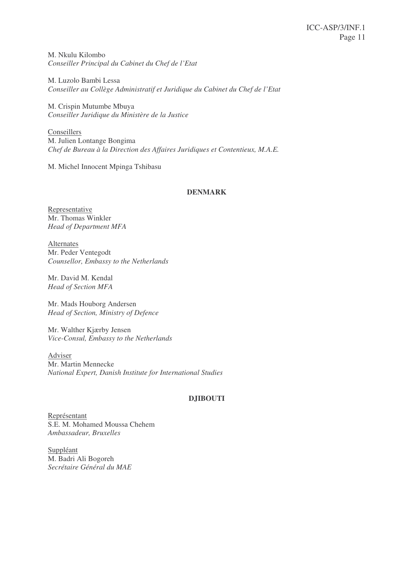M. Nkulu Kilombo *Conseiller Principal du Cabinet du Chef de l'Etat*

M. Luzolo Bambi Lessa *Conseiller au Collège Administratif et Juridique du Cabinet du Chef de l'Etat*

M. Crispin Mutumbe Mbuya *Conseiller Juridique du Ministère de la Justice*

**Conseillers** M. Julien Lontange Bongima *Chef de Bureau à la Direction des Affaires Juridiques et Contentieux, M.A.E.*

M. Michel Innocent Mpinga Tshibasu

### **DENMARK**

Representative Mr. Thomas Winkler *Head of Department MFA*

Alternates Mr. Peder Ventegodt *Counsellor, Embassy to the Netherlands*

Mr. David M. Kendal *Head of Section MFA*

Mr. Mads Houborg Andersen *Head of Section, Ministry of Defence*

Mr. Walther Kjærby Jensen *Vice-Consul, Embassy to the Netherlands*

Adviser Mr. Martin Mennecke *National Expert, Danish Institute for International Studies*

#### **DJIBOUTI**

Représentant S.E. M. Mohamed Moussa Chehem *Ambassadeur, Bruxelles*

Suppléant M. Badri Ali Bogoreh *Secrétaire Général du MAE*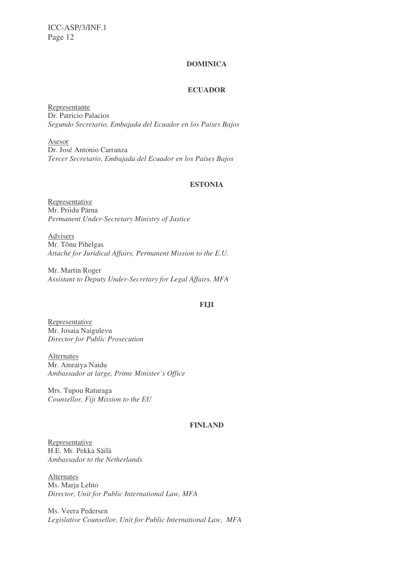#### **DOMINICA**

### **ECUADOR**

Representante Dr. Patricio Palacios *Segundo Secretario, Embajada del Ecuador en los Países Bajos*

Asesor Dr. José Antonio Carranza *Tercer Secretario, Embajada del Ecuador en los Países Bajos*

### **ESTONIA**

Representative Mr. Priidu Pärna *Permanent Under-Secretary Ministry of Justice*

Advisers Mr. Tõnu Pihelgas *Attaché for Juridical Affairs, Permanent Mission to the E.U.*

Mr. Martin Roger *Assistant to Deputy Under-Secretary for Legal Affairs, MFA*

#### **FIJI**

Representative Mr. Josaia Naigulevu *Director for Public Prosecution*

Alternates Mr. Amraiya Naidu *Ambassador at large, Prime Minister's Office*

Mrs. Tupou Raturaga *Counsellor, Fiji Mission to the EU*

#### **FINLAND**

Representative H.E. Mr. Pekka Säilä *Ambassador to the Netherlands*

**Alternates** Ms. Marja Lehto *Director, Unit for Public International Law, MFA*

Ms. Veera Pedersen *Legislative Counsellor, Unit for Public International Law, MFA*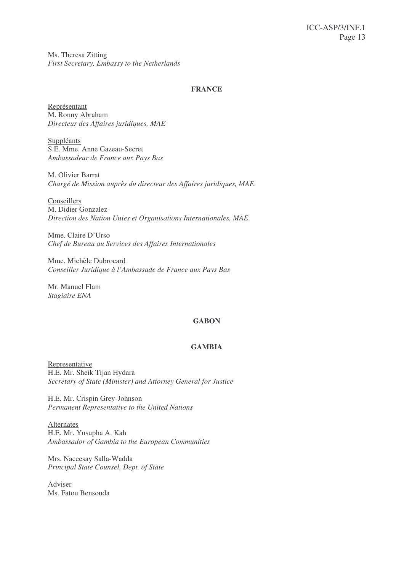Ms. Theresa Zitting *First Secretary, Embassy to the Netherlands*

### **FRANCE**

Représentant M. Ronny Abraham *Directeur des Affaires juridíques, MAE*

Suppléants S.E. Mme. Anne Gazeau-Secret *Ambassadeur de France aux Pays Bas*

M. Olivier Barrat *Chargé de Mission auprès du directeur des Affaires juridiques, MAE*

Conseillers M. Didier Gonzalez *Direction des Nation Unies et Organisations Internationales, MAE*

Mme. Claire D'Urso *Chef de Bureau au Services des Affaires Internationales*

Mme. Michèle Dubrocard *Conseiller Juridique à l'Ambassade de France aux Pays Bas*

Mr. Manuel Flam *Stagiaire ENA*

#### **GABON**

### **GAMBIA**

Representative H.E. Mr. Sheik Tijan Hydara *Secretary of State (Minister) and Attorney General for Justice*

H.E. Mr. Crispin Grey-Johnson *Permanent Representative to the United Nations*

Alternates H.E. Mr. Yusupha A. Kah *Ambassador of Gambia to the European Communities*

Mrs. Naceesay Salla-Wadda *Principal State Counsel, Dept. of State*

Adviser Ms. Fatou Bensouda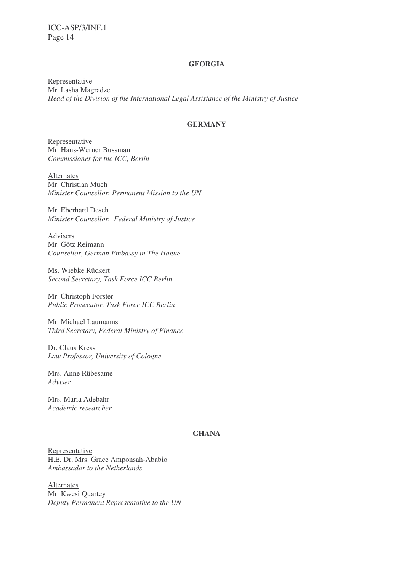### **GEORGIA**

Representative Mr. Lasha Magradze *Head of the Division of the International Legal Assistance of the Ministry of Justice*

#### **GERMANY**

Representative Mr. Hans-Werner Bussmann *Commissioner for the ICC, Berlin*

Alternates Mr. Christian Much *Minister Counsellor, Permanent Mission to the UN*

Mr. Eberhard Desch *Minister Counsellor, Federal Ministry of Justice*

Advisers Mr. Götz Reimann *Counsellor, German Embassy in The Hague*

Ms. Wiebke Rückert *Second Secretary, Task Force ICC Berlin*

Mr. Christoph Forster *Public Prosecutor, Task Force ICC Berlin*

Mr. Michael Laumanns *Third Secretary, Federal Ministry of Finance*

Dr. Claus Kress *Law Professor, University of Cologne*

Mrs. Anne Rübesame *Adviser*

Mrs. Maria Adebahr *Academic researcher*

#### **GHANA**

Representative H.E. Dr. Mrs. Grace Amponsah-Ababio *Ambassador to the Netherlands*

Alternates Mr. Kwesi Quartey *Deputy Permanent Representative to the UN*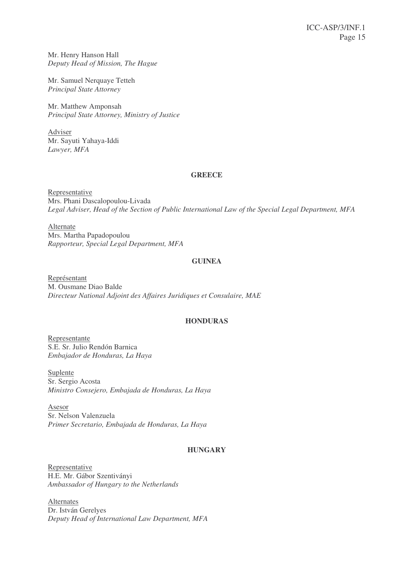Mr. Henry Hanson Hall *Deputy Head of Mission, The Hague*

Mr. Samuel Nerquaye Tetteh *Principal State Attorney*

Mr. Matthew Amponsah *Principal State Attorney, Ministry of Justice*

Adviser Mr. Sayuti Yahaya-Iddi *Lawyer, MFA*

#### **GREECE**

Representative Mrs. Phani Dascalopoulou-Livada *Legal Adviser, Head of the Section of Public International Law of the Special Legal Department, MFA*

Alternate Mrs. Martha Papadopoulou *Rapporteur, Special Legal Department, MFA*

#### **GUINEA**

Représentant M. Ousmane Diao Balde *Directeur National Adjoint des Affaires Juridiques et Consulaire, MAE*

#### **HONDURAS**

Representante S.E. Sr. Julio Rendón Barnica *Embajador de Honduras, La Haya*

Suplente Sr. Sergio Acosta *Ministro Consejero, Embajada de Honduras, La Haya*

Asesor Sr. Nelson Valenzuela *Primer Secretario, Embajada de Honduras, La Haya*

#### **HUNGARY**

Representative H.E. Mr. Gábor Szentiványi *Ambassador of Hungary to the Netherlands*

Alternates Dr. István Gerelyes *Deputy Head of International Law Department, MFA*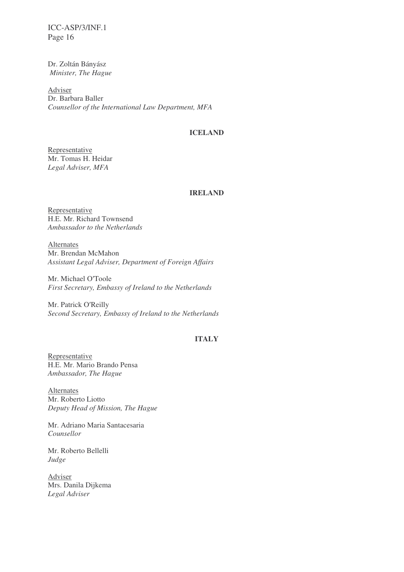Dr. Zoltán Bányász *Minister, The Hague*

Adviser Dr. Barbara Baller *Counsellor of the International Law Department, MFA*

### **ICELAND**

Representative Mr. Tomas H. Heidar *Legal Adviser, MFA*

#### **IRELAND**

Representative H.E. Mr. Richard Townsend *Ambassador to the Netherlands*

Alternates Mr. Brendan McMahon *Assistant Legal Adviser, Department of Foreign Affairs*

Mr. Michael O'Toole *First Secretary, Embassy of Ireland to the Netherlands*

Mr. Patrick O'Reilly *Second Secretary, Embassy of Ireland to the Netherlands*

### **ITALY**

Representative H.E. Mr. Mario Brando Pensa *Ambassador, The Hague*

Alternates Mr. Roberto Liotto *Deputy Head of Mission, The Hague*

Mr. Adriano Maria Santacesaria *Counsellor*

Mr. Roberto Bellelli *Judge*

Adviser Mrs. Danila Dijkema *Legal Adviser*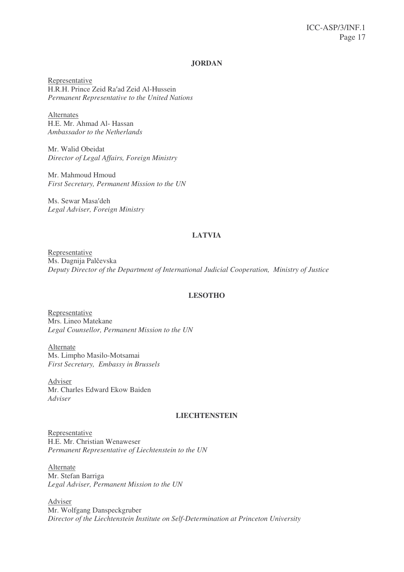#### **JORDAN**

Representative H.R.H. Prince Zeid Ra'ad Zeid Al-Hussein *Permanent Representative to the United Nations*

Alternates H.E. Mr. Ahmad Al- Hassan *Ambassador to the Netherlands*

Mr. Walid Obeidat *Director of Legal Affairs, Foreign Ministry*

Mr. Mahmoud Hmoud *First Secretary, Permanent Mission to the UN*

Ms. Sewar Masa'deh *Legal Adviser, Foreign Ministry*

#### **LATVIA**

Representative Ms. Dagnija Palčevska *Deputy Director of the Department of International Judicial Cooperation, Ministry of Justice*

#### **LESOTHO**

Representative Mrs. Lineo Matekane *Legal Counsellor, Permanent Mission to the UN*

Alternate Ms. Limpho Masilo-Motsamai *First Secretary, Embassy in Brussels*

Adviser Mr. Charles Edward Ekow Baiden *Adviser*

#### **LIECHTENSTEIN**

Representative H.E. Mr. Christian Wenaweser *Permanent Representative of Liechtenstein to the UN*

Alternate Mr. Stefan Barriga *Legal Adviser, Permanent Mission to the UN*

Adviser Mr. Wolfgang Danspeckgruber *Director of the Liechtenstein Institute on Self-Determination at Princeton University*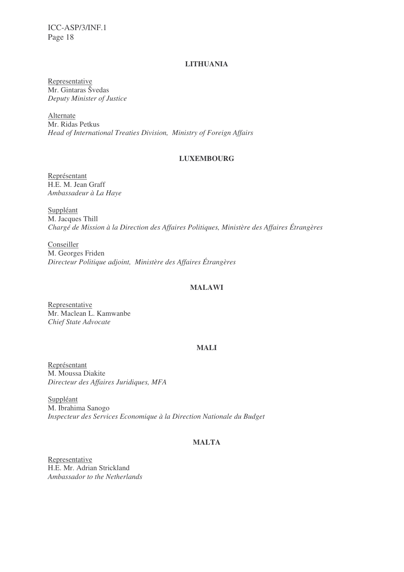### **LITHUANIA**

Representative Mr. Gintaras Švedas *Deputy Minister of Justice*

Alternate Mr. Ridas Petkus *Head of International Treaties Division, Ministry of Foreign Affairs*

### **LUXEMBOURG**

Représentant H.E. M. Jean Graff *Ambassadeur à La Haye*

Suppléant M. Jacques Thill *Chargé de Mission à la Direction des Affaires Politiques, Ministère des Affaires Étrangères*

Conseiller M. Georges Friden *Directeur Politique adjoint, Ministère des Affaires Étrangères*

### **MALAWI**

Representative Mr. Maclean L. Kamwanbe *Chief State Advocate*

### **MALI**

Représentant M. Moussa Diakite *Directeur des Affaires Juridiques, MFA*

Suppléant M. Ibrahima Sanogo *Inspecteur des Services Economique à la Direction Nationale du Budget*

### **MALTA**

Representative H.E. Mr. Adrian Strickland *Ambassador to the Netherlands*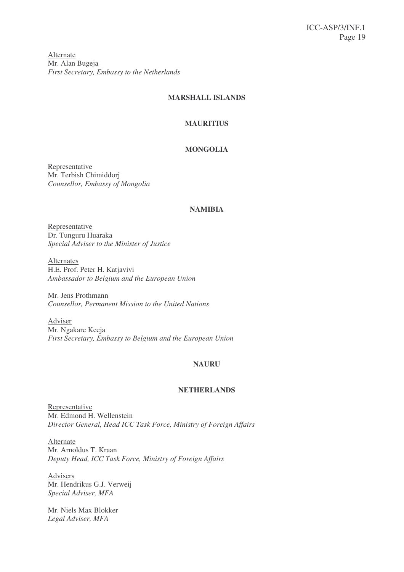Alternate Mr. Alan Bugeja *First Secretary, Embassy to the Netherlands*

### **MARSHALL ISLANDS**

### **MAURITIUS**

### **MONGOLIA**

Representative Mr. Terbish Chimiddorj *Counsellor, Embassy of Mongolia*

#### **NAMIBIA**

Representative Dr. Tunguru Huaraka *Special Adviser to the Minister of Justice*

Alternates H.E. Prof. Peter H. Katjavivi *Ambassador to Belgium and the European Union*

Mr. Jens Prothmann *Counsellor, Permanent Mission to the United Nations*

Adviser Mr. Ngakare Keeja *First Secretary, Embassy to Belgium and the European Union*

### **NAURU**

### **NETHERLANDS**

Representative Mr. Edmond H. Wellenstein *Director General, Head ICC Task Force, Ministry of Foreign Affairs*

Alternate Mr. Arnoldus T. Kraan *Deputy Head, ICC Task Force, Ministry of Foreign Affairs*

Advisers Mr. Hendrikus G.J. Verweij *Special Adviser, MFA*

Mr. Niels Max Blokker *Legal Adviser, MFA*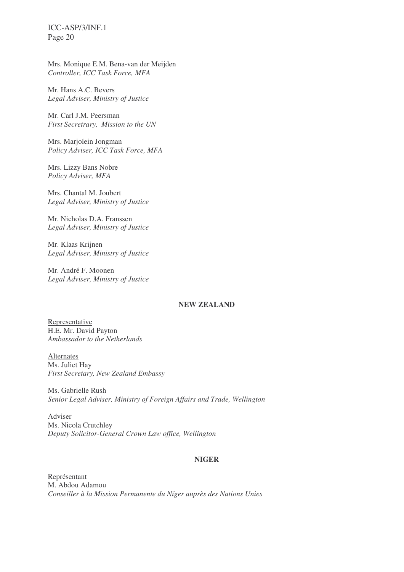Mrs. Monique E.M. Bena-van der Meijden *Controller, ICC Task Force, MFA*

Mr. Hans A.C. Bevers *Legal Adviser, Ministry of Justice*

Mr. Carl J.M. Peersman *First Secretrary, Mission to the UN*

Mrs. Marjolein Jongman *Policy Adviser, ICC Task Force, MFA*

Mrs. Lizzy Bans Nobre *Policy Adviser, MFA*

Mrs. Chantal M. Joubert *Legal Adviser, Ministry of Justice*

Mr. Nicholas D.A. Franssen *Legal Adviser, Ministry of Justice*

Mr. Klaas Krijnen *Legal Adviser, Ministry of Justice*

Mr. André F. Moonen *Legal Adviser, Ministry of Justice*

#### **NEW ZEALAND**

Representative H.E. Mr. David Payton *Ambassador to the Netherlands*

Alternates Ms. Juliet Hay *First Secretary, New Zealand Embassy*

Ms. Gabrielle Rush *Senior Legal Adviser, Ministry of Foreign Affairs and Trade, Wellington*

Adviser Ms. Nicola Crutchley *Deputy Solicitor-General Crown Law office, Wellington*

#### **NIGER**

Représentant M. Abdou Adamou *Conseiller à la Mission Permanente du Níger auprès des Nations Unies*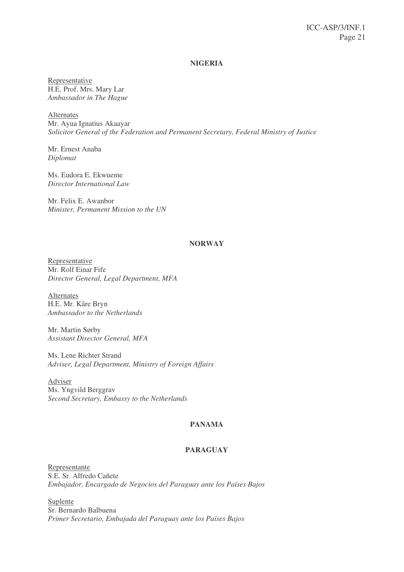#### **NIGERIA**

Representative H.E. Prof. Mrs. Mary Lar *Ambassador in The Hague*

Alternates Mr. Ayua Ignatius Akaayar *Solicitor General of the Federation and Permanent Secretary, Federal Ministry of Justice*

Mr. Ernest Anaba *Diplomat*

Ms. Eudora E. Ekwueme *Director International Law*

Mr. Felix E. Awanbor *Minister, Permanent Mission to the UN*

#### **NORWAY**

Representative Mr. Rolf Einar Fife *Director General, Legal Department, MFA*

Alternates H.E. Mr. Kåre Bryn *Ambassador to the Netherlands*

Mr. Martin Sørby *Assistant Director General, MFA*

Ms. Lene Richter Strand *Adviser, Legal Department, Ministry of Foreign Affairs*

Adviser Ms. Yngvild Berggrav *Second Secretary, Embassy to the Netherlands*

#### **PANAMA**

#### **PARAGUAY**

Representante S.E. Sr. Alfredo Cañete *Embajador, Encargado de Negocios del Paraguay ante los Países Bajos*

Suplente Sr. Bernardo Balbuena *Primer Secretario, Embajada del Paraguay ante los Países Bajos*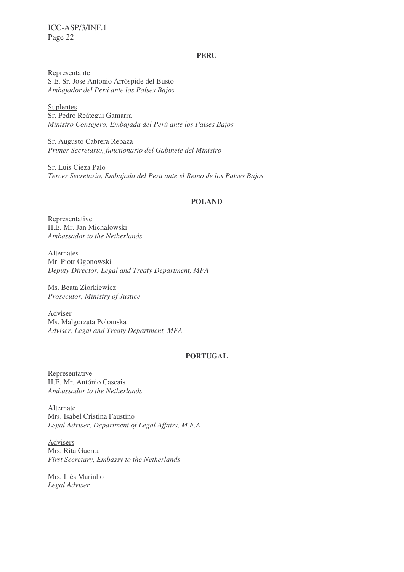#### **PERU**

Representante S.E. Sr. Jose Antonio Arróspide del Busto *Ambajador del Perú ante los Países Bajos*

Suplentes Sr. Pedro Reátegui Gamarra *Ministro Consejero, Embajada del Perú ante los Países Bajos*

Sr. Augusto Cabrera Rebaza *Primer Secretario, functionario del Gabinete del Ministro*

Sr. Luis Cieza Palo *Tercer Secretario, Embajada del Perú ante el Reino de los Países Bajos*

#### **POLAND**

Representative H.E. Mr. Jan Michalowski *Ambassador to the Netherlands*

Alternates Mr. Piotr Ogonowski *Deputy Director, Legal and Treaty Department, MFA*

Ms. Beata Ziorkiewicz *Prosecutor, Ministry of Justice*

Adviser Ms. Malgorzata Polomska *Adviser, Legal and Treaty Department, MFA*

### **PORTUGAL**

Representative H.E. Mr. António Cascais *Ambassador to the Netherlands*

Alternate Mrs. Isabel Cristina Faustino *Legal Adviser, Department of Legal Affairs, M.F.A.*

Advisers Mrs. Rita Guerra *First Secretary, Embassy to the Netherlands*

Mrs. Inês Marinho *Legal Adviser*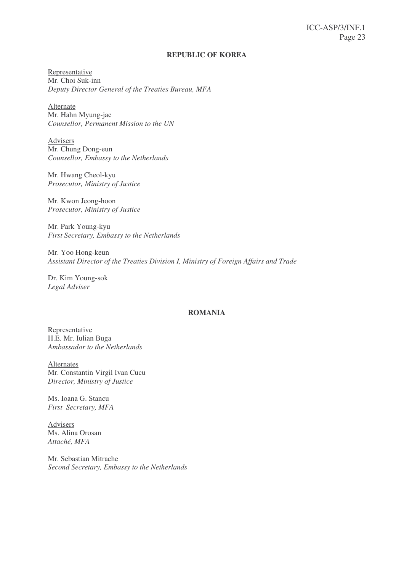#### **REPUBLIC OF KOREA**

Representative Mr. Choi Suk-inn *Deputy Director General of the Treaties Bureau, MFA*

Alternate Mr. Hahn Myung-jae *Counsellor, Permanent Mission to the UN*

Advisers Mr. Chung Dong-eun *Counsellor, Embassy to the Netherlands*

Mr. Hwang Cheol-kyu *Prosecutor, Ministry of Justice*

Mr. Kwon Jeong-hoon *Prosecutor, Ministry of Justice*

Mr. Park Young-kyu *First Secretary, Embassy to the Netherlands*

Mr. Yoo Hong-keun *Assistant Director of the Treaties Division I, Ministry of Foreign Affairs and Trade*

Dr. Kim Young-sok *Legal Adviser*

#### **ROMANIA**

Representative H.E. Mr. Iulian Buga *Ambassador to the Netherlands*

Alternates Mr. Constantin Virgil Ivan Cucu *Director, Ministry of Justice*

Ms. Ioana G. Stancu *First Secretary, MFA*

Advisers Ms. Alina Orosan *Attaché, MFA*

Mr. Sebastian Mitrache *Second Secretary, Embassy to the Netherlands*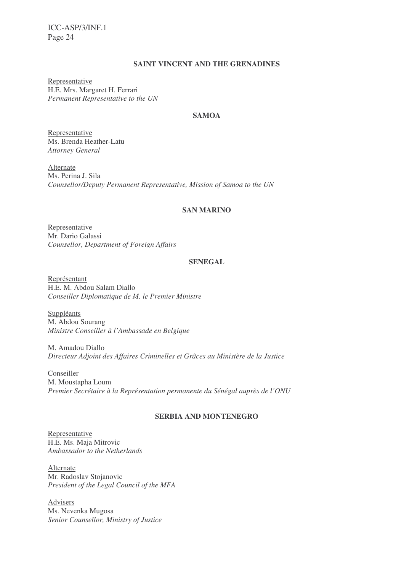### **SAINT VINCENT AND THE GRENADINES**

Representative H.E. Mrs. Margaret H. Ferrari *Permanent Representative to the UN*

### **SAMOA**

Representative Ms. Brenda Heather-Latu *Attorney General*

Alternate Ms. Perina J. Sila *Counsellor/Deputy Permanent Representative, Mission of Samoa to the UN*

#### **SAN MARINO**

Representative Mr. Dario Galassi *Counsellor, Department of Foreign Affairs*

#### **SENEGAL**

Représentant H.E. M. Abdou Salam Diallo *Conseiller Diplomatique de M. le Premier Ministre*

**Suppléants** M. Abdou Sourang *Ministre Conseiller à l'Ambassade en Belgique*

M. Amadou Diallo *Directeur Adjoint des Affaires Criminelles et Grâces au Ministère de la Justice*

Conseiller M. Moustapha Loum *Premier Secrétaire à la Représentation permanente du Sénégal auprès de l'ONU*

#### **SERBIA AND MONTENEGRO**

Representative H.E. Ms. Maja Mitrovic *Ambassador to the Netherlands*

Alternate Mr. Radoslav Stojanovic *President of the Legal Council of the MFA*

Advisers Ms. Nevenka Mugosa *Senior Counsellor, Ministry of Justice*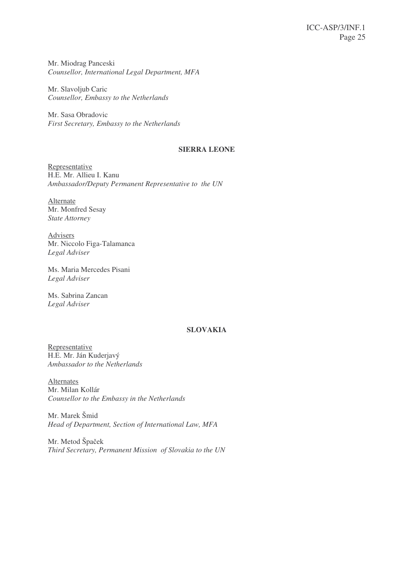Mr. Miodrag Panceski *Counsellor, International Legal Department, MFA*

Mr. Slavoljub Caric *Counsellor, Embassy to the Netherlands*

Mr. Sasa Obradovic *First Secretary, Embassy to the Netherlands*

#### **SIERRA LEONE**

Representative H.E. Mr. Allieu I. Kanu *Ambassador/Deputy Permanent Representative to the UN*

Alternate Mr. Monfred Sesay *State Attorney*

Advisers Mr. Niccolo Figa-Talamanca *Legal Adviser*

Ms. Maria Mercedes Pisani *Legal Adviser*

Ms. Sabrina Zancan *Legal Adviser*

### **SLOVAKIA**

Representative H.E. Mr. Ján Kuderjavý *Ambassador to the Netherlands*

Alternates Mr. Milan Kollár *Counsellor to the Embassy in the Netherlands*

Mr. Marek Šmid *Head of Department, Section of International Law, MFA*

Mr. Metod Špaček *Third Secretary, Permanent Mission of Slovakia to the UN*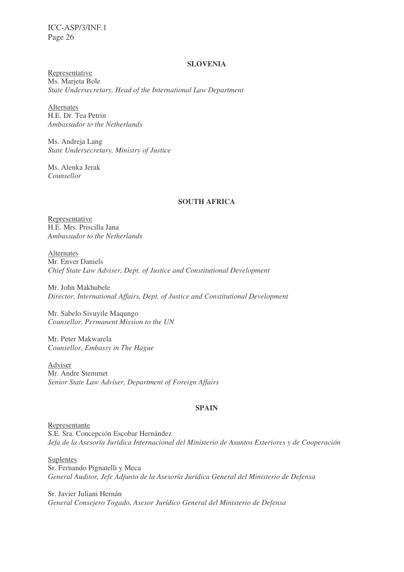#### **SLOVENIA**

Representative Ms. Marjeta Bole *State Undersecretary, Head of the International Law Department*

Alternates H.E. Dr. Tea Petrin *Ambassador to the Netherlands*

Ms. Andreja Lang *State Undersecretary, Ministry of Justice*

Ms. Alenka Jerak *Counsellor*

#### **SOUTH AFRICA**

Representative H.E. Mrs. Priscilla Jana *Ambassador to the Netherlands*

Alternates Mr. Enver Daniels *Chief State Law Adviser, Dept. of Justice and Constitutional Development*

Mr. John Makhubele *Director, International Affairs, Dept. of Justice and Constitutional Development*

Mr. Sabelo Sivuyile Maqungo *Counsellor, Permanent Mission to the UN*

Mr. Peter Makwarela *Counsellor, Embassy in The Hague*

Adviser Mr. Andre Stemmet *Senior State Law Adviser, Department of Foreign Affairs*

#### **SPAIN**

Representante S.E. Sra. Concepción Escobar Hernández *Jefa de la Asesoría Jurídica Internacional del Ministerio de Asuntos Exteriores y de Cooperación*

Suplentes Sr. Fernando Pignatelli y Meca *General Auditor, Jefe Adjunto de la Asesoría Jurídica General del Ministerio de Defensa*

Sr. Javier Juliani Hernán *General Consejero Togado, Asesor Jurídico General del Ministerio de Defensa*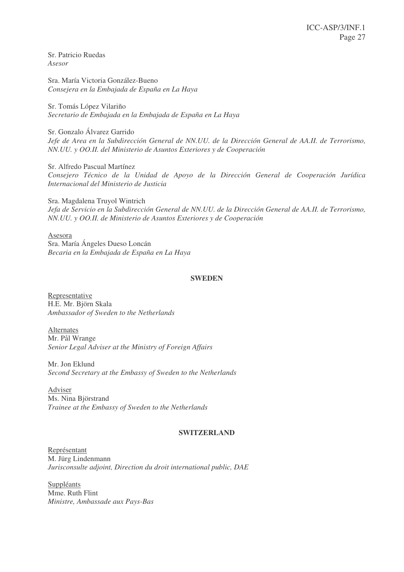Sr. Patricio Ruedas *Asesor*

Sra. María Victoria González-Bueno *Consejera en la Embajada de España en La Haya*

Sr. Tomás López Vilariño *Secretario de Embajada en la Embajada de España en La Haya*

Sr. Gonzalo Álvarez Garrido *Jefe de Area en la Subdirección General de NN.UU. de la Dirección General de AA.II. de Terrorismo, NN.UU. y OO.II. del Ministerio de Asuntos Exteriores y de Cooperación*

Sr. Alfredo Pascual Martínez *Consejero Técnico de la Unidad de Apoyo de la Dirección General de Cooperación Jurídica Internacional del Ministerio de Justicia*

Sra. Magdalena Truyol Wintrich *Jefa de Servicio en la Subdirección General de NN.UU. de la Dirección General de AA.II. de Terrorismo, NN.UU. y OO.II. de Ministerio de Asuntos Exteriores y de Cooperación*

Asesora Sra. María Ángeles Dueso Loncán *Becaria en la Embajada de España en La Haya*

#### **SWEDEN**

Representative H.E. Mr. Björn Skala *Ambassador of Sweden to the Netherlands*

Alternates Mr. Pål Wrange *Senior Legal Adviser at the Ministry of Foreign Affairs*

Mr. Jon Eklund *Second Secretary at the Embassy of Sweden to the Netherlands*

Adviser Ms. Nina Björstrand *Trainee at the Embassy of Sweden to the Netherlands*

#### **SWITZERLAND**

Représentant M. Jürg Lindenmann *Jurisconsulte adjoint, Direction du droit international public, DAE*

Suppléants Mme. Ruth Flint *Ministre, Ambassade aux Pays-Bas*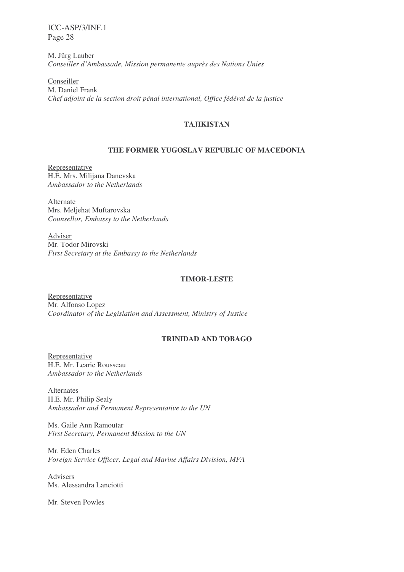M. Jürg Lauber *Conseiller d'Ambassade, Mission permanente auprès des Nations Unies*

Conseiller M. Daniel Frank *Chef adjoint de la section droit pénal international, Office fédéral de la justice*

### **TAJIKISTAN**

### **THE FORMER YUGOSLAV REPUBLIC OF MACEDONIA**

Representative H.E. Mrs. Milijana Danevska *Ambassador to the Netherlands*

Alternate Mrs. Meljehat Muftarovska *Counsellor, Embassy to the Netherlands*

Adviser Mr. Todor Mirovski *First Secretary at the Embassy to the Netherlands*

#### **TIMOR-LESTE**

Representative Mr. Alfonso Lopez *Coordinator of the Legislation and Assessment, Ministry of Justice*

### **TRINIDAD AND TOBAGO**

Representative H.E. Mr. Learie Rousseau *Ambassador to the Netherlands*

Alternates H.E. Mr. Philip Sealy *Ambassador and Permanent Representative to the UN*

Ms. Gaile Ann Ramoutar *First Secretary, Permanent Mission to the UN*

Mr. Eden Charles *Foreign Service Officer, Legal and Marine Affairs Division, MFA*

Advisers Ms. Alessandra Lanciotti

Mr. Steven Powles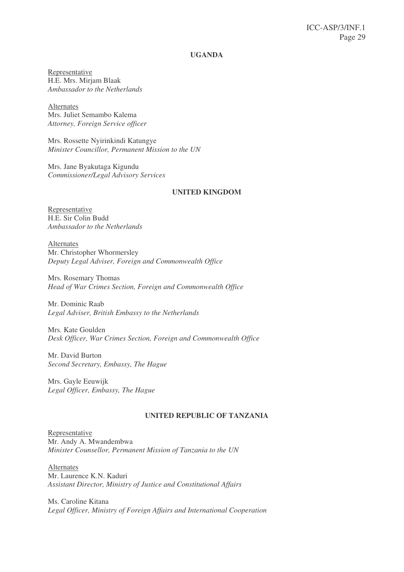#### **UGANDA**

Representative H.E. Mrs. Mirjam Blaak *Ambassador to the Netherlands*

Alternates Mrs. Juliet Semambo Kalema *Attorney, Foreign Service officer*

Mrs. Rossette Nyirinkindi Katungye *Minister Councillor, Permanent Mission to the UN*

Mrs. Jane Byakutaga Kigundu *Commissioner/Legal Advisory Services*

#### **UNITED KINGDOM**

Representative H.E. Sir Colin Budd *Ambassador to the Netherlands*

Alternates Mr. Christopher Whormersley *Deputy Legal Adviser, Foreign and Commonwealth Office*

Mrs. Rosemary Thomas *Head of War Crimes Section, Foreign and Commonwealth Office*

Mr. Dominic Raab *Legal Adviser, British Embassy to the Netherlands*

Mrs. Kate Goulden *Desk Officer, War Crimes Section, Foreign and Commonwealth Office*

Mr. David Burton *Second Secretary, Embassy, The Hague*

Mrs. Gayle Eeuwijk *Legal Officer, Embassy, The Hague*

### **UNITED REPUBLIC OF TANZANIA**

Representative Mr. Andy A. Mwandembwa *Minister Counsellor, Permanent Mission of Tanzania to the UN*

Alternates Mr. Laurence K.N. Kaduri *Assistant Director, Ministry of Justice and Constitutional Affairs*

Ms. Caroline Kitana *Legal Officer, Ministry of Foreign Affairs and International Cooperation*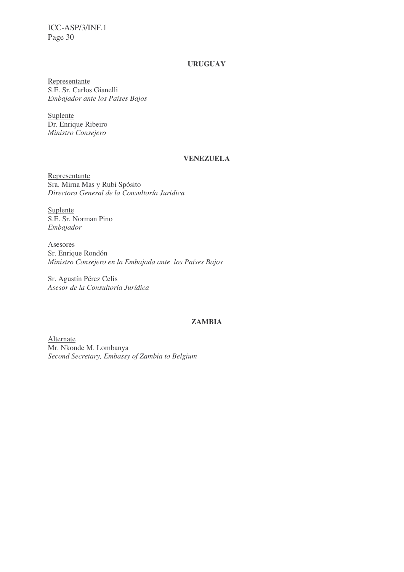### **URUGUAY**

Representante S.E. Sr. Carlos Gianelli *Embajador ante los Países Bajos*

Suplente Dr. Enrique Ribeiro *Ministro Consejero*

#### **VENEZUELA**

Representante Sra. Mirna Mas y Rubi Spósito *Directora General de la Consultoría Jurídica*

Suplente S.E. Sr. Norman Pino *Embajador*

Asesores Sr. Enrique Rondón *Ministro Consejero en la Embajada ante los Países Bajos*

Sr. Agustín Pérez Celis *Asesor de la Consultoría Jurídica*

#### **ZAMBIA**

Alternate Mr. Nkonde M. Lombanya *Second Secretary, Embassy of Zambia to Belgium*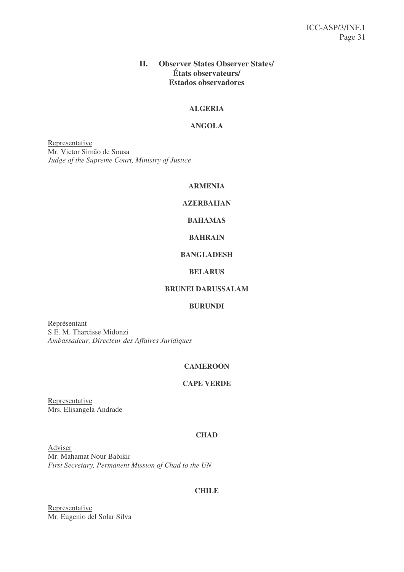### **II. Observer States Observer States/ États observateurs/ Estados observadores**

### **ALGERIA**

#### **ANGOLA**

Representative Mr. Victor Simão de Sousa *Judge of the Supreme Court, Ministry of Justice*

### **ARMENIA**

### **AZERBAIJAN**

### **BAHAMAS**

### **BAHRAIN**

#### **BANGLADESH**

#### **BELARUS**

### **BRUNEI DARUSSALAM**

### **BURUNDI**

Représentant S.E. M. Tharcisse Midonzi *Ambassadeur, Directeur des Affaires Juridiques*

#### **CAMEROON**

#### **CAPE VERDE**

**Representative** Mrs. Elisangela Andrade

#### **CHAD**

Adviser Mr. Mahamat Nour Babikir *First Secretary, Permanent Mission of Chad to the UN*

### **CHILE**

Representative Mr. Eugenio del Solar Silva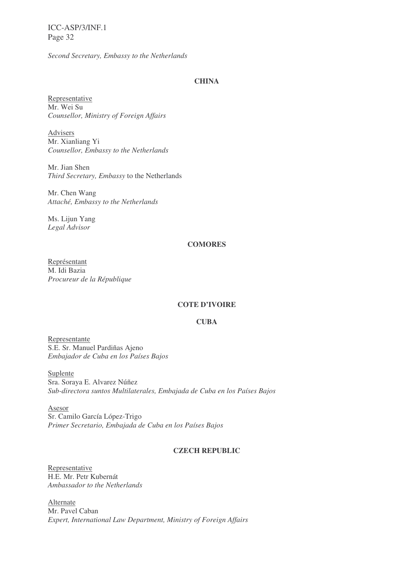*Second Secretary, Embassy to the Netherlands*

#### **CHINA**

Representative Mr. Wei Su *Counsellor, Ministry of Foreign Affairs*

Advisers Mr. Xianliang Yi *Counsellor, Embassy to the Netherlands*

Mr. Jian Shen *Third Secretary, Embassy* to the Netherlands

Mr. Chen Wang *Attaché, Embassy to the Netherlands*

Ms. Lijun Yang *Legal Advisor*

#### **COMORES**

Représentant M. Idi Bazia *Procureur de la République*

#### **COTE D'IVOIRE**

#### **CUBA**

Representante S.E. Sr. Manuel Pardiñas Ajeno *Embajador de Cuba en los Países Bajos*

Suplente Sra. Soraya E. Alvarez Núñez *Sub-directora suntos Multilaterales, Embajada de Cuba en los Países Bajos*

Asesor Sr. Camilo García López-Trigo *Primer Secretario, Embajada de Cuba en los Países Bajos*

### **CZECH REPUBLIC**

Representative H.E. Mr. Petr Kubernát *Ambassador to the Netherlands*

Alternate Mr. Pavel Caban *Expert, International Law Department, Ministry of Foreign Affairs*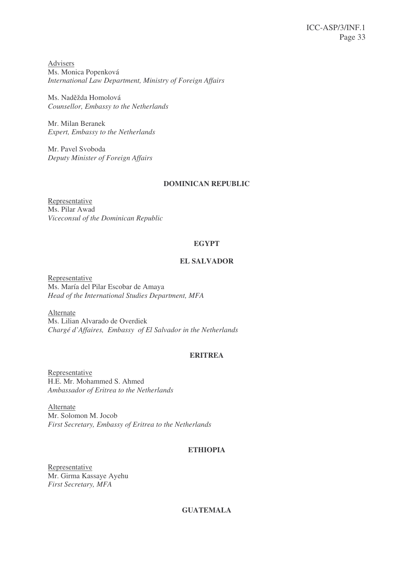**Advisers** Ms. Monica Popenková *International Law Department, Ministry of Foreign Affairs*

Ms. Nadžda Homolová *Counsellor, Embassy to the Netherlands*

Mr. Milan Beranek *Expert, Embassy to the Netherlands*

Mr. Pavel Svoboda *Deputy Minister of Foreign Affairs*

### **DOMINICAN REPUBLIC**

**Representative** Ms. Pilar Awad *Viceconsul of the Dominican Republic*

### **EGYPT**

### **EL SALVADOR**

Representative Ms. María del Pilar Escobar de Amaya *Head of the International Studies Department, MFA*

Alternate Ms. Lilian Alvarado de Overdiek *Chargé d'Affaires, Embassy of El Salvador in the Netherlands*

### **ERITREA**

Representative H.E. Mr. Mohammed S. Ahmed *Ambassador of Eritrea to the Netherlands*

Alternate Mr. Solomon M. Jocob *First Secretary, Embassy of Eritrea to the Netherlands*

### **ETHIOPIA**

Representative Mr. Girma Kassaye Ayehu *First Secretary, MFA*

### **GUATEMALA**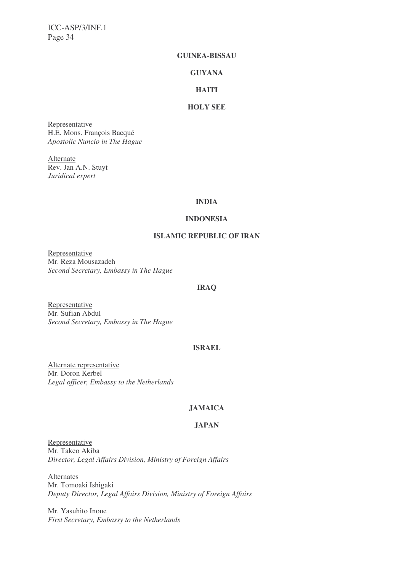#### **GUINEA-BISSAU**

#### **GUYANA**

#### **HAITI**

### **HOLY SEE**

Representative H.E. Mons. François Bacqué *Apostolic Nuncio in The Hague*

Alternate Rev. Jan A.N. Stuyt *Juridical expert*

#### **INDIA**

#### **INDONESIA**

### **ISLAMIC REPUBLIC OF IRAN**

Representative Mr. Reza Mousazadeh *Second Secretary, Embassy in The Hague*

#### **IRAQ**

Representative Mr. Sufian Abdul *Second Secretary, Embassy in The Hague*

### **ISRAEL**

Alternate representative Mr. Doron Kerbel *Legal officer, Embassy to the Netherlands*

#### **JAMAICA**

#### **JAPAN**

Representative Mr. Takeo Akiba *Director, Legal Affairs Division, Ministry of Foreign Affairs*

**Alternates** Mr. Tomoaki Ishigaki *Deputy Director, Legal Affairs Division, Ministry of Foreign Affairs*

Mr. Yasuhito Inoue *First Secretary, Embassy to the Netherlands*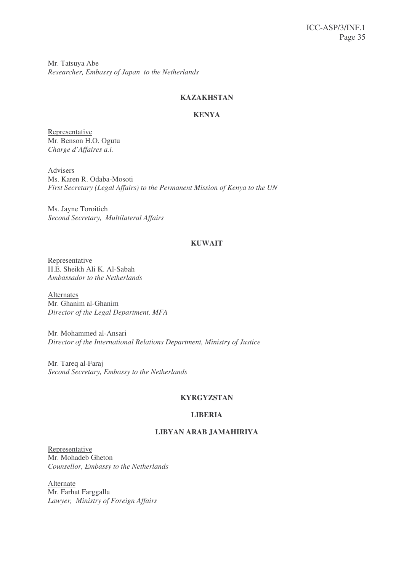Mr. Tatsuya Abe *Researcher, Embassy of Japan to the Netherlands*

### **KAZAKHSTAN**

### **KENYA**

Representative Mr. Benson H.O. Ogutu *Charge d'Affaires a.i.*

Advisers Ms. Karen R. Odaba-Mosoti *First Secretary (Legal Affairs) to the Permanent Mission of Kenya to the UN*

Ms. Jayne Toroitich *Second Secretary, Multilateral Affairs*

### **KUWAIT**

Representative H.E. Sheikh Ali K. Al-Sabah *Ambassador to the Netherlands*

Alternates Mr. Ghanim al-Ghanim *Director of the Legal Department, MFA*

Mr. Mohammed al-Ansari *Director of the International Relations Department, Ministry of Justice*

Mr. Tareq al-Faraj *Second Secretary, Embassy to the Netherlands*

### **KYRGYZSTAN**

### **LIBERIA**

### **LIBYAN ARAB JAMAHIRIYA**

Representative Mr. Mohadeb Gheton *Counsellor, Embassy to the Netherlands*

Alternate Mr. Farhat Farggalla *Lawyer, Ministry of Foreign Affairs*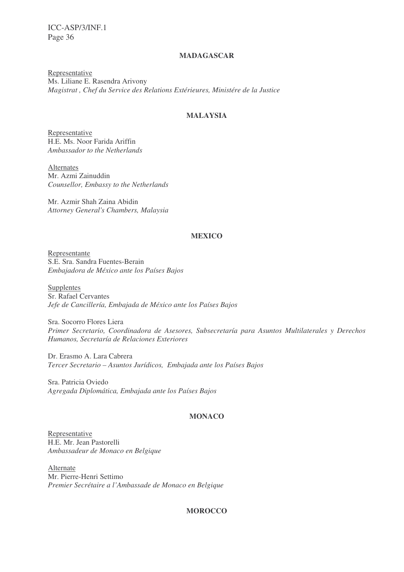#### **MADAGASCAR**

Representative Ms. Liliane E. Rasendra Arivony *Magistrat , Chef du Service des Relations Extérieures, Ministére de la Justice*

### **MALAYSIA**

Representative H.E. Ms. Noor Farida Ariffin *Ambassador to the Netherlands*

**Alternates** Mr. Azmi Zainuddin *Counsellor, Embassy to the Netherlands*

Mr. Azmir Shah Zaina Abidin *Attorney General's Chambers, Malaysia*

#### **MEXICO**

Representante S.E. Sra. Sandra Fuentes-Berain *Embajadora de México ante los Países Bajos*

Supplentes Sr. Rafael Cervantes *Jefe de Cancillería, Embajada de México ante los Países Bajos*

Sra. Socorro Flores Liera *Primer Secretario, Coordinadora de Asesores, Subsecretaría para Asuntos Multilaterales y Derechos Humanos, Secretaría de Relaciones Exteriores*

Dr. Erasmo A. Lara Cabrera *Tercer Secretario – Asuntos Jurídicos, Embajada ante los Países Bajos*

Sra. Patricia Oviedo *Agregada Diplomática, Embajada ante los Países Bajos*

#### **MONACO**

Representative H.E. Mr. Jean Pastorelli *Ambassadeur de Monaco en Belgique*

Alternate Mr. Pierre-Henri Settimo *Premier Secrétaire a l'Ambassade de Monaco en Belgique*

#### **MOROCCO**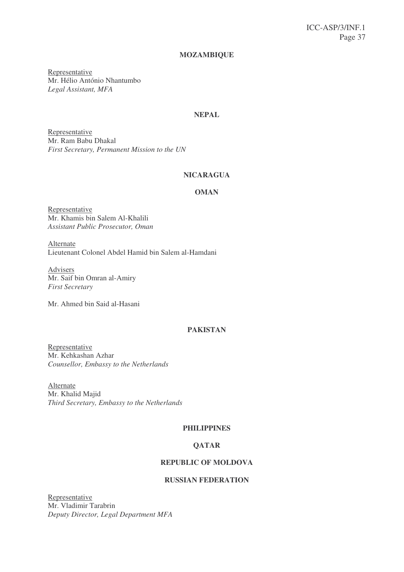#### **MOZAMBIQUE**

Representative Mr. Hélio António Nhantumbo *Legal Assistant, MFA*

### **NEPAL**

Representative Mr. Ram Babu Dhakal *First Secretary, Permanent Mission to the UN*

#### **NICARAGUA**

#### **OMAN**

Representative Mr. Khamis bin Salem Al-Khalili *Assistant Public Prosecutor, Oman*

Alternate Lieutenant Colonel Abdel Hamid bin Salem al-Hamdani

Advisers Mr. Saif bin Omran al-Amiry *First Secretary*

Mr. Ahmed bin Said al-Hasani

#### **PAKISTAN**

Representative Mr. Kehkashan Azhar *Counsellor, Embassy to the Netherlands*

Alternate Mr. Khalid Majid *Third Secretary, Embassy to the Netherlands*

### **PHILIPPINES**

#### **QATAR**

#### **REPUBLIC OF MOLDOVA**

### **RUSSIAN FEDERATION**

Representative Mr. Vladimir Tarabrin *Deputy Director, Legal Department MFA*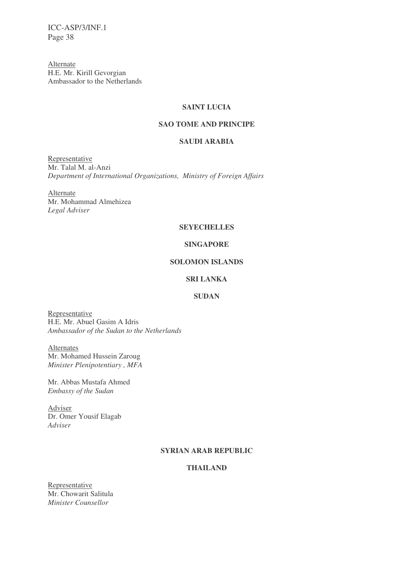Alternate H.E. Mr. Kirill Gevorgian Ambassador to the Netherlands

#### **SAINT LUCIA**

### **SAO TOME AND PRINCIPE**

#### **SAUDI ARABIA**

Representative Mr. Talal M. al-Anzi *Department of International Organizations, Ministry of Foreign Affairs*

Alternate Mr. Mohammad Almehizea *Legal Adviser*

#### **SEYECHELLES**

#### **SINGAPORE**

#### **SOLOMON ISLANDS**

### **SRI LANKA**

#### **SUDAN**

Representative H.E. Mr. Abuel Gasim A Idris *Ambassador of the Sudan to the Netherlands*

Alternates Mr. Mohamed Hussein Zaroug *Minister Plenipotentiary , MFA*

Mr. Abbas Mustafa Ahmed *Embassy of the Sudan*

Adviser Dr. Omer Yousif Elagab *Adviser*

### **SYRIAN ARAB REPUBLIC**

### **THAILAND**

Representative Mr. Chowarit Salitula *Minister Counsellor*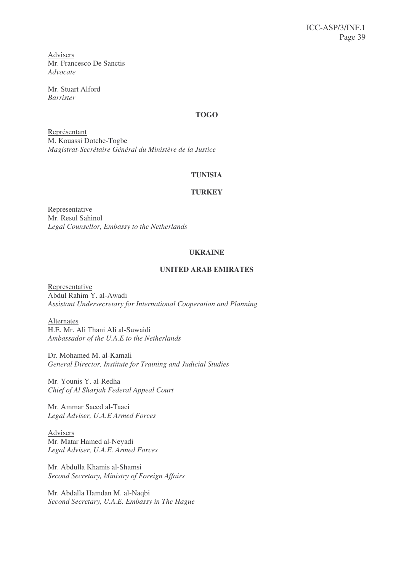Advisers Mr. Francesco De Sanctis *Advocate*

Mr. Stuart Alford *Barrister*

### **TOGO**

Représentant M. Kouassi Dotche-Togbe *Magistrat-Secrétaire Général du Ministère de la Justice*

#### **TUNISIA**

### **TURKEY**

Representative Mr. Resul Sahinol *Legal Counsellor, Embassy to the Netherlands*

### **UKRAINE**

### **UNITED ARAB EMIRATES**

Representative Abdul Rahim Y. al-Awadi *Assistant Undersecretary for International Cooperation and Planning*

Alternates H.E. Mr. Ali Thani Ali al-Suwaidi *Ambassador of the U.A.E to the Netherlands*

Dr. Mohamed M. al-Kamali *General Director, Institute for Training and Judicial Studies*

Mr. Younis Y. al-Redha *Chief of Al Sharjah Federal Appeal Court*

Mr. Ammar Saeed al-Taaei *Legal Adviser, U.A.E Armed Forces*

Advisers Mr. Matar Hamed al-Neyadi *Legal Adviser, U.A.E. Armed Forces*

Mr. Abdulla Khamis al-Shamsi *Second Secretary, Ministry of Foreign Affairs*

Mr. Abdalla Hamdan M. al-Naqbi *Second Secretary, U.A.E. Embassy in The Hague*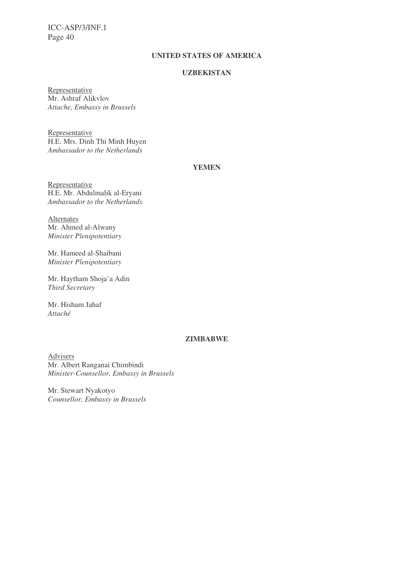### **UNITED STATES OF AMERICA**

#### **UZBEKISTAN**

Representative Mr. Ashraf Alikvlov *Attache, Embassy in Brussels*

Representative H.E. Mrs. Dinh Thi Minh Huyen *Ambassador to the Netherlands*

### **YEMEN**

Representative H.E. Mr. Abdulmalik al-Eryani *Ambassador to the Netherlands*

Alternates Mr. Ahmed al-Alwany *Minister Plenipotentiary*

Mr. Hameed al-Shaibani *Minister Plenipotentiary*

Mr. Haytham Shoja'a Adin *Third Secretary*

Mr. Hisham Jahaf *Attaché*

### **ZIMBABWE**

Advisers Mr. Albert Ranganai Chimbindi *Minister-Counsellor, Embassy in Brussels*

Mr. Stewart Nyakotyo *Counsellor, Embassy in Brussels*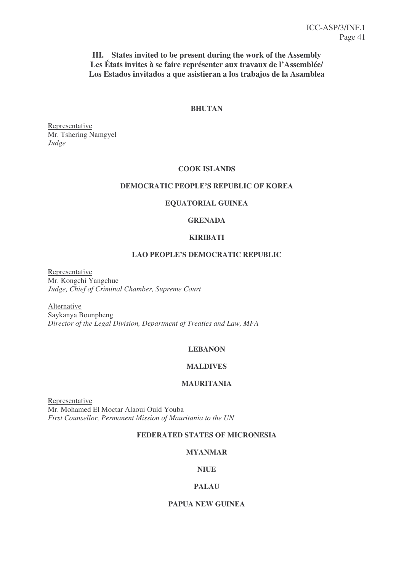**III. States invited to be present during the work of the Assembly Les États invites à se faire représenter aux travaux de l'Assemblée/ Los Estados invitados a que asistieran a los trabajos de la Asamblea**

#### **BHUTAN**

Representative Mr. Tshering Namgyel *Judge*

#### **COOK ISLANDS**

#### **DEMOCRATIC PEOPLE'S REPUBLIC OF KOREA**

#### **EQUATORIAL GUINEA**

### **GRENADA**

### **KIRIBATI**

#### **LAO PEOPLE'S DEMOCRATIC REPUBLIC**

Representative Mr. Kongchi Yangchue *Judge, Chief of Criminal Chamber, Supreme Court*

Alternative Saykanya Bounpheng *Director of the Legal Division, Department of Treaties and Law, MFA*

#### **LEBANON**

#### **MALDIVES**

### **MAURITANIA**

Representative Mr. Mohamed El Moctar Alaoui Ould Youba *First Counsellor, Permanent Mission of Mauritania to the UN*

### **FEDERATED STATES OF MICRONESIA**

#### **MYANMAR**

#### **NIUE**

#### **PALAU**

#### **PAPUA NEW GUINEA**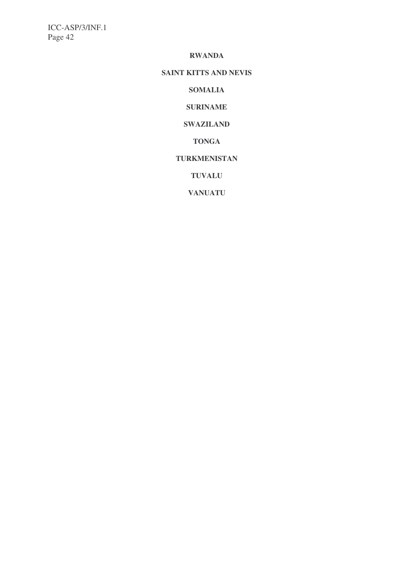#### **RWANDA**

## **SAINT KITTS AND NEVIS**

**SOMALIA**

**SURINAME**

**SWAZILAND**

**TONGA**

### **TURKMENISTAN**

**TUVALU**

**VANUATU**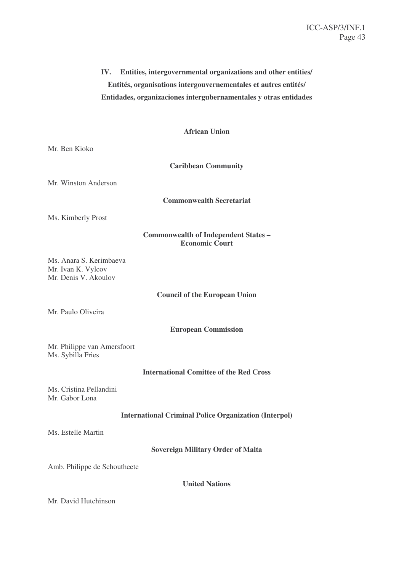# **IV. Entities, intergovernmental organizations and other entities/ Entités, organisations intergouvernementales et autres entités/ Entidades, organizaciones intergubernamentales y otras entidades**

### **African Union**

Mr. Ben Kioko

**Caribbean Community**

Mr. Winston Anderson

**Commonwealth Secretariat**

Ms. Kimberly Prost

### **Commonwealth of Independent States – Economic Court**

Ms. Anara S. Kerimbaeva Mr. Ivan K. Vylcov Mr. Denis V. Akoulov

### **Council of the European Union**

Mr. Paulo Oliveira

#### **European Commission**

Mr. Philippe van Amersfoort Ms. Sybilla Fries

#### **International Comittee of the Red Cross**

Ms. Cristina Pellandini Mr. Gabor Lona

#### **International Criminal Police Organization (Interpol)**

Ms. Estelle Martin

**Sovereign Military Order of Malta**

Amb. Philippe de Schoutheete

**United Nations**

Mr. David Hutchinson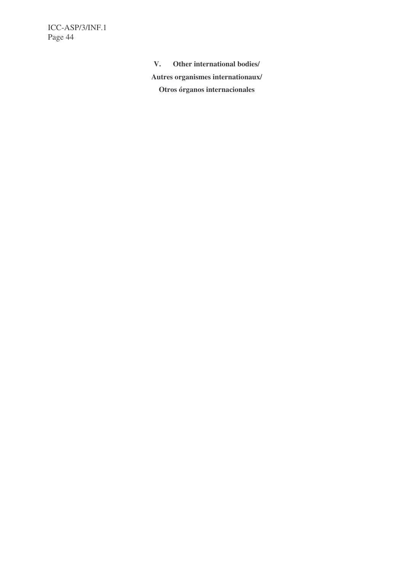> **V. Other international bodies/ Autres organismes internationaux/ Otros órganos internacionales**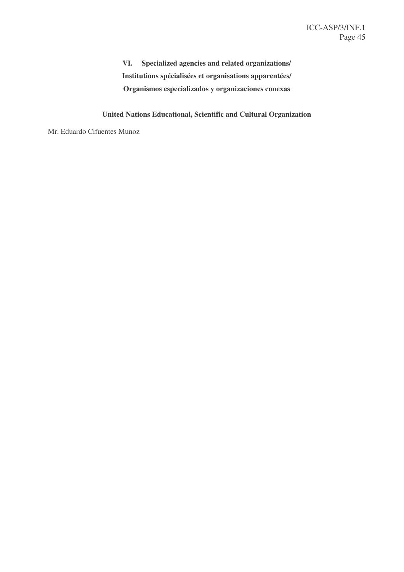**VI. Specialized agencies and related organizations/ Institutions spécialisées et organisations apparentées/ Organismos especializados y organizaciones conexas**

**United Nations Educational, Scientific and Cultural Organization**

Mr. Eduardo Cifuentes Munoz